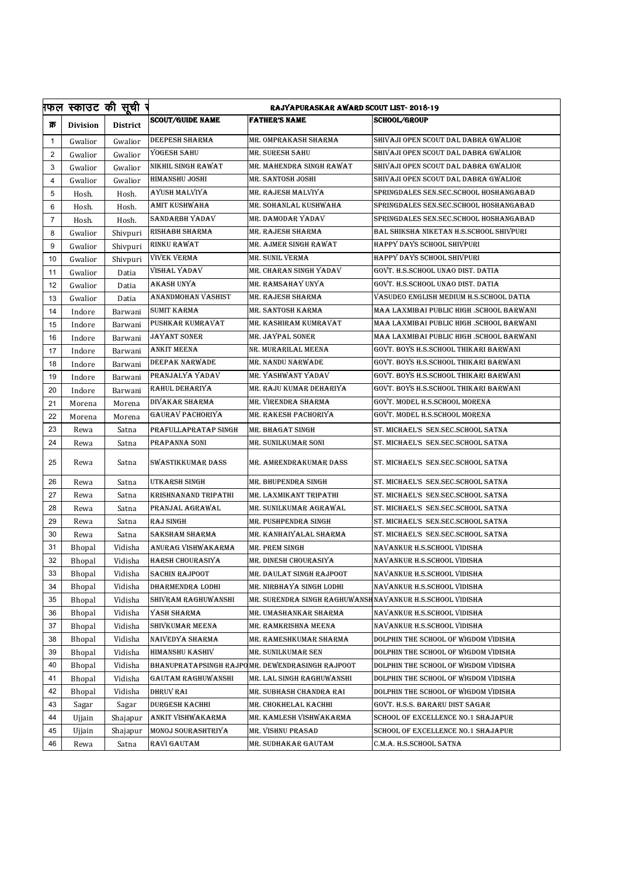|                |                 | फल स्काउट की सूची र | <b>RAJYAPURASKAR AWARD SCOUT LIST-2018-19</b> |                                                 |                                          |  |
|----------------|-----------------|---------------------|-----------------------------------------------|-------------------------------------------------|------------------------------------------|--|
| क्र            | <b>Division</b> | <b>District</b>     | <b>SCOUT/GUIDE NAME</b>                       | <b>FATHER'S NAME</b>                            | <b>SCHOOL/GROUP</b>                      |  |
| 1              | Gwalior         | Gwalior             | DEEPESH SHARMA                                | MR. OMPRAKASH SHARMA                            | SHIVAJI OPEN SCOUT DAL DABRA GWALIOR     |  |
| $\overline{2}$ | Gwalior         | Gwalior             | YOGESH SAHU                                   | MR. SURESH SAHU                                 | SHIVAJI OPEN SCOUT DAL DABRA GWALIOR     |  |
| 3              | Gwalior         | Gwalior             | NIKHIL SINGH RAWAT                            | MR. MAHENDRA SINGH RAWAT                        | SHIVAJI OPEN SCOUT DAL DABRA GWALIOR     |  |
| 4              | Gwalior         | Gwalior             | <b>HIMANSHU JOSHI</b>                         | MR. SANTOSH JOSHI                               | SHIVAJI OPEN SCOUT DAL DABRA GWALIOR     |  |
| 5              | Hosh.           | Hosh.               | AYUSH MALVIYA                                 | MR. RAJESH MALVIYA                              | SPRINGDALES SEN.SEC.SCHOOL HOSHANGABAD   |  |
| 6              | Hosh.           | Hosh.               | AMIT KUSHWAHA                                 | MR. SOHANLAL KUSHWAHA                           | SPRINGDALES SEN.SEC.SCHOOL HOSHANGABAD   |  |
| $\overline{7}$ | Hosh.           | Hosh.               | sandarbh Yadav                                | MR. DAMODAR YADAV                               | SPRINGDALES SEN.SEC.SCHOOL HOSHANGABAD   |  |
| 8              | Gwalior         | Shivpuri            | RISHABH SHARMA                                | MR. RAJESH SHARMA                               | BAL SHIKSHA NIKETAN H.S.SCHOOL SHIVPURI  |  |
| 9              | Gwalior         | Shivpuri            | RINKU RAWAT                                   | MR. AJMER SINGH RAWAT                           | HAPPY DAYS SCHOOL SHIVPURI               |  |
| 10             | Gwalior         | Shivpuri            | VIVEK VERMA                                   | MR. SUNIL VERMA                                 | HAPPY DAYS SCHOOL SHIVPURI               |  |
| 11             | Gwalior         | Datia               | VISHAL YADAV                                  | MR. CHARAN SINGH YADAV                          | GOVT. H.S.SCHOOL UNAO DIST. DATIA        |  |
| 12             | Gwalior         | Datia               | AKASH UNYA                                    | MR. RAMSAHAY UNYA                               | GOVT. H.S.SCHOOL UNAO DIST. DATIA        |  |
| 13             | Gwalior         | Datia               | ANANDMOHAN VASHIST                            | MR. RAJESH SHARMA                               | VASUDEO ENGLISH MEDIUM H.S.SCHOOL DATIA  |  |
| 14             | Indore          | Barwani             | SUMIT KARMA                                   | MR. SANTOSH KARMA                               | MAA LAXMIBAI PUBLIC HIGH .SCHOOL BARWANI |  |
| 15             | Indore          | Barwani             | PUSHKAR KUMRAVAT                              | MR. KASHIRAM KUMRAVAT                           | MAA LAXMIBAI PUBLIC HIGH .SCHOOL BARWANI |  |
| 16             | Indore          | Barwani             | JAYANT SONER                                  | MR. JAYPAL SONER                                | MAA LAXMIBAI PUBLIC HIGH .SCHOOL BARWANI |  |
| 17             | Indore          | Barwani             | ANKIT MEENA                                   | NR. MURARILAL MEENA                             | GOVT. BOYS H.S.SCHOOL THIKARI BARWANI    |  |
| 18             | Indore          | Barwani             | DEEPAK NARWADE                                | MR. NANDU NARWADE                               | GOVT. BOYS H.S.SCHOOL THIKARI BARWANI    |  |
| 19             | Indore          | Barwani             | PRANJALYA YADAV                               | MR. YASHWANT YADAV                              | GOVT. BOYS H.S.SCHOOL THIKARI BARWANI    |  |
| 20             | Indore          | Barwani             | RAHUL DEHARIYA                                | MR. RAJU KUMAR DEHARIYA                         | GOVT. BOYS H.S.SCHOOL THIKARI BARWANI    |  |
| 21             | Morena          | Morena              | DIVAKAR SHARMA                                | MR. VIRENDRA SHARMA                             | GOVT. MODEL H.S.SCHOOL MORENA            |  |
| 22             | Morena          | Morena              | GAURAV PACHORIYA                              | MR. RAKESH PACHORIYA                            | GOVT. MODEL H.S.SCHOOL MORENA            |  |
| 23             | Rewa            | Satna               | PRAFULLAPRATAP SINGH                          | MR. BHAGAT SINGH                                | ST. MICHAEL'S SEN.SEC.SCHOOL SATNA       |  |
| 24             | Rewa            | Satna               | PRAPANNA SONI                                 | MR. SUNILKUMAR SONI                             | ST. MICHAEL'S SEN.SEC.SCHOOL SATNA       |  |
| 25             | Rewa            | Satna               | SWASTIKKUMAR DASS                             | MR. AMRENDRAKUMAR DASS                          | ST. MICHAEL'S SEN.SEC.SCHOOL SATNA       |  |
| 26             | Rewa            | Satna               | UTKARSH SINGH                                 | MR. BHUPENDRA SINGH                             | ST. MICHAEL'S SEN.SEC.SCHOOL SATNA       |  |
| 27             | Rewa            | Satna               | KRISHNANAND TRIPATHI                          | MR. LAXMIKANT TRIPATHI                          | ST. MICHAEL'S SEN.SEC.SCHOOL SATNA       |  |
| 28             | Rewa            | Satna               | PRANJAL AGRAWAL                               | MR. SUNILKUMAR AGRAWAL                          | ST. MICHAEL'S SEN.SEC.SCHOOL SATNA       |  |
| 29             | Rewa            | Satna               | <b>RAJ SINGH</b>                              | MR. PUSHPENDRA SINGH                            | ST. MICHAEL'S SEN.SEC.SCHOOL SATNA       |  |
| 30             | Rewa            | Satna               | SAKSHAM SHARMA                                | MR. KANHAIYALAL SHARMA                          | ST. MICHAEL'S SEN.SEC.SCHOOL SATNA       |  |
| 31             | <b>Bhopal</b>   | Vidisha             | ANURAG VISHWAKARMA                            | MR. PREM SINGH                                  | NAVANKUR H.S.SCHOOL VIDISHA              |  |
| 32             | Bhopal          | Vidisha             | <b>HARSH CHOURASIYA</b>                       | MR. DINESH CHOURASIYA                           | NAVANKUR H.S.SCHOOL VIDISHA              |  |
| 33             | <b>Bhopal</b>   | Vidisha             | <b>SACHIN RAJPOOT</b>                         | MR. DAULAT SINGH RAJPOOT                        | NAVANKUR H.S.SCHOOL VIDISHA              |  |
| 34             | Bhopal          | Vidisha             | DHARMENDRA LODHI                              | MR. NIRBHAYA SINGH LODHI                        | NAVANKUR H.S.SCHOOL VIDISHA              |  |
| 35             | <b>Bhopal</b>   | Vidisha             | SHIVRAM RAGHUWANSHI                           | MR. SURENDRA SINGH RAGHUWANS!                   | INAVANKUR H.S.SCHOOL VIDISHA             |  |
| 36             | <b>Bhopal</b>   | Vidisha             | YASH SHARMA                                   | MR. UMASHANKAR SHARMA                           | NAVANKUR H.S.SCHOOL VIDISHA              |  |
| 37             | <b>Bhopal</b>   | Vidisha             | SHIVKUMAR MEENA                               | MR. RAMKRISHNA MEENA                            | NAVANKUR H.S.SCHOOL VIDISHA              |  |
| 38             | <b>Bhopal</b>   | Vidisha             | NAIVEDYA SHARMA                               | MR. RAMESHKUMAR SHARMA                          | DOLPHIN THE SCHOOL OF WIGDOM VIDISHA     |  |
| 39             | <b>Bhopal</b>   | Vidisha             | HIMANSHU KASHIV                               | MR. SUNILKUMAR SEN                              | DOLPHIN THE SCHOOL OF WIGDOM VIDISHA     |  |
| 40             | <b>Bhopal</b>   | Vidisha             |                                               | BHANUPRATAPSINGH RAJPOMR. DEWENDRASINGH RAJPOOT | DOLPHIN THE SCHOOL OF WIGDOM VIDISHA     |  |
| 41             | <b>Bhopal</b>   | Vidisha             | GAUTAM RAGHUWANSHI                            | MR. LAL SINGH RAGHUWANSHI                       | DOLPHIN THE SCHOOL OF WIGDOM VIDISHA     |  |
| 42             | <b>Bhopal</b>   | Vidisha             | DHRUV RAI                                     | MR. SUBHASH CHANDRA RAI                         | DOLPHIN THE SCHOOL OF WIGDOM VIDISHA     |  |
| 43             | Sagar           | Sagar               | <b>DURGESH KACHHI</b>                         | MR. CHOKHELAL KACHHI                            | GOVT. H.S.S. BARARU DIST SAGAR           |  |
| 44             | Ujjain          | Shajapur            | ANKIT VISHWAKARMA                             | MR. KAMLESH VISHWAKARMA                         | SCHOOL OF EXCELLENCE NO.1 SHAJAPUR       |  |
| 45             | Ujjain          | Shajapur            | MONOJ SOURASHTRIYA                            | MR. VISHNU PRASAD                               | SCHOOL OF EXCELLENCE NO.1 SHAJAPUR       |  |
| 46             | Rewa            | Satna               | RAVI GAUTAM                                   | MR. SUDHAKAR GAUTAM                             | C.M.A. H.S.SCHOOL SATNA                  |  |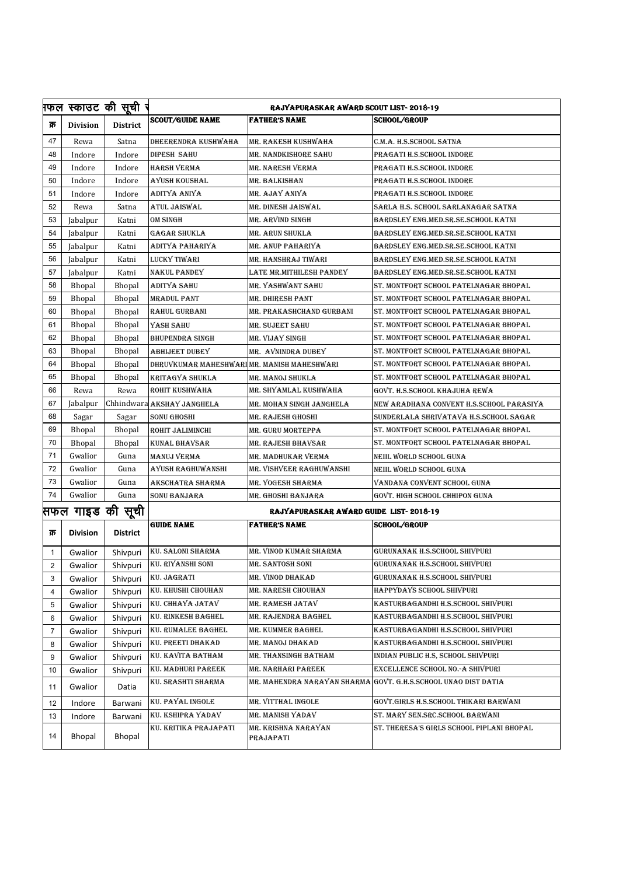|                  |                 | फल स्काउट की सूची र | <b>RAJYAPURASKAR AWARD SCOUT LIST-2018-19</b> |                                  |                                                                |  |
|------------------|-----------------|---------------------|-----------------------------------------------|----------------------------------|----------------------------------------------------------------|--|
| क्र              | <b>Division</b> | <b>District</b>     | <b>SCOUT/GUIDE NAME</b>                       | <b>FATHER'S NAME</b>             | <b>SCHOOL/GROUP</b>                                            |  |
| 47               | Rewa            | Satna               | DHEERENDRA KUSHWAHA                           | MR. RAKESH KUSHWAHA              | C.M.A. H.S.SCHOOL SATNA                                        |  |
| 48               | Indore          | Indore              | <b>DIPESH SAHU</b>                            | MR. NANDKISHORE SAHU             | PRAGATI H.S.SCHOOL INDORE                                      |  |
| 49               | Indore          | Indore              | <b>HARSH VERMA</b>                            | MR. NARESH VERMA                 | PRAGATI H.S.SCHOOL INDORE                                      |  |
| 50               | Indore          | Indore              | AYUSH KOUSHAL                                 | MR. BALKISHAN                    | PRAGATI H.S.SCHOOL INDORE                                      |  |
| 51               | Indore          | Indore              | ADITYA ANIYA                                  | MR. AJAY ANIYA                   | PRAGATI H.S.SCHOOL INDORE                                      |  |
| 52               | Rewa            | Satna               | ATUL JAISWAL                                  | MR. DINESH JAISWAL               | SARLA H.S. SCHOOL SARLANAGAR SATNA                             |  |
| 53               | Jabalpur        | Katni               | <b>OM SINGH</b>                               | MR. ARVIND SINGH                 | BARDSLEY ENG.MED.SR.SE.SCHOOL KATNI                            |  |
| 54               | Jabalpur        | Katni               | <b>GAGAR SHUKLA</b>                           | MR. ARUN SHUKLA                  | BARDSLEY ENG.MED.SR.SE.SCHOOL KATNI                            |  |
| 55               | Jabalpur        | Katni               | ADITYA PAHARIYA                               | MR. ANUP PAHARIYA                | BARDSLEY ENG.MED.SR.SE.SCHOOL KATNI                            |  |
| 56               | Jabalpur        | Katni               | <b>LUCKY TIWARI</b>                           | MR. HANSHRAJ TIWARI              | BARDSLEY ENG.MED.SR.SE.SCHOOL KATNI                            |  |
| 57               | Jabalpur        | Katni               | <b>NAKUL PANDEY</b>                           | LATE MR.MITHILESH PANDEY         | BARDSLEY ENG.MED.SR.SE.SCHOOL KATNI                            |  |
| 58               | <b>Bhopal</b>   | <b>Bhopal</b>       | ADITYA SAHU                                   | MR. YASHWANT SAHU                | ST. MONTFORT SCHOOL PATELNAGAR BHOPAL                          |  |
| 59               | <b>Bhopal</b>   | <b>Bhopal</b>       | <b>MRADUL PANT</b>                            | MR. DHIRESH PANT                 | ST. MONTFORT SCHOOL PATELNAGAR BHOPAL                          |  |
| 60               | <b>Bhopal</b>   | <b>Bhopal</b>       | <b>RAHUL GURBANI</b>                          | MR. PRAKASHCHAND GURBANI         | ST. MONTFORT SCHOOL PATELNAGAR BHOPAL                          |  |
| 61               | Bhopal          | Bhopal              | YASH SAHU                                     | MR. SUJEET SAHU                  | ST. MONTFORT SCHOOL PATELNAGAR BHOPAL                          |  |
| 62               | <b>Bhopal</b>   | Bhopal              | <b>BHUPENDRA SINGH</b>                        | MR. VIJAY SINGH                  | ST. MONTFORT SCHOOL PATELNAGAR BHOPAL                          |  |
| 63               | <b>Bhopal</b>   | Bhopal              | <b>ABHIJEET DUBEY</b>                         | MR. AVNINDRA DUBEY               | ST. MONTFORT SCHOOL PATELNAGAR BHOPAL                          |  |
| 64               | <b>Bhopal</b>   | <b>Bhopal</b>       | DHRUVKUMAR MAHESHWARI MR. MANISH MAHESHWARI   |                                  | ST. MONTFORT SCHOOL PATELNAGAR BHOPAL                          |  |
| 65               | <b>Bhopal</b>   | <b>Bhopal</b>       | <b>KRITAGYA SHUKLA</b>                        | MR. MANOJ SHUKLA                 | ST. MONTFORT SCHOOL PATELNAGAR BHOPAL                          |  |
| 66               | Rewa            | Rewa                | ROHIT KUSHWAHA                                | MR. SHYAMLAL KUSHWAHA            | GOVT. H.S.SCHOOL KHAJUHA REWA                                  |  |
| 67               | Jabalpur        |                     | Chhindwara AKSHAY JANGHELA                    | MR. MOHAN SINGH JANGHELA         | NEW ARADHANA CONVENT H.S.SCHOOL PARASIYA                       |  |
| 68               | Sagar           | Sagar               | <b>SONU GHOSHI</b>                            | MR. RAJESH GHOSHI                | SUNDERLALA SHRIVATAVA H.S.SCHOOL SAGAR                         |  |
| 69               | <b>Bhopal</b>   | <b>Bhopal</b>       | ROHIT JALIMINCHI                              | MR. GURU MORTEPPA                | ST. MONTFORT SCHOOL PATELNAGAR BHOPAL                          |  |
| 70               | <b>Bhopal</b>   | <b>Bhopal</b>       | <b>KUNAL BHAVSAR</b>                          | MR. RAJESH BHAVSAR               | ST. MONTFORT SCHOOL PATELNAGAR BHOPAL                          |  |
| 71               | Gwalior         | Guna                | MANUJ VERMA                                   | MR. MADHUKAR VERMA               | NEIIL WORLD SCHOOL GUNA                                        |  |
| 72               | Gwalior         | Guna                | AYUSH RAGHUWANSHI                             | MR. VISHVEER RAGHUWANSHI         | NEIIL WORLD SCHOOL GUNA                                        |  |
| 73               | Gwalior         | Guna                | AKSCHATRA SHARMA                              | MR. YOGESH SHARMA                | VANDANA CONVENT SCHOOL GUNA                                    |  |
| 74               | Gwalior         | Guna                | SONU BANJARA                                  | MR. GHOSHI BANJARA               | GOVT. HIGH SCHOOL CHHIPON GUNA                                 |  |
| सफल गाइड की सूची |                 |                     | RAJYAPURASKAR AWARD GUIDE LIST-2018-19        |                                  |                                                                |  |
|                  |                 |                     | <b>GUIDE NAME</b>                             | <b>FATHER'S NAME</b>             | <b>SCHOOL/GROUP</b>                                            |  |
| क्र              | <b>Division</b> | <b>District</b>     |                                               |                                  |                                                                |  |
| 1                | Gwalior         | Shivpuri            | <b>KU. SALONI SHARMA</b>                      | MR. VINOD KUMAR SHARMA           | GURUNANAK H.S.SCHOOL SHIVPURI                                  |  |
| 2                | Gwalior         |                     | Shivpuri KU. RIYANSHI SONI                    | MR. SANTOSH SONI                 | GURUNANAK H.S.SCHOOL SHIVPURI                                  |  |
| 3                | Gwalior         | Shivpuri            | KU. JAGRATI                                   | MR. VINOD DHAKAD                 | GURUNANAK H.S.SCHOOL SHIVPURI                                  |  |
| 4                | Gwalior         | Shivpuri            | KU. KHUSHI CHOUHAN                            | MR. NARESH CHOUHAN               | HAPPYDAYS SCHOOL SHIVPURI                                      |  |
| 5                | Gwalior         | Shivpuri            | KU. CHHAYA JATAV                              | MR. RAMESH JATAV                 | KASTURBAGANDHI H.S.SCHOOL SHIVPURI                             |  |
| 6                | Gwalior         | Shivpuri            | <b>KU. RINKESH BAGHEL</b>                     | MR. RAJENDRA BAGHEL              | KASTURBAGANDHI H.S.SCHOOL SHIVPURI                             |  |
| 7                | Gwalior         | Shivpuri            | KU. RUMALEE BAGHEL                            | MR. KUMMER BAGHEL                | KASTURBAGANDHI H.S.SCHOOL SHIVPURI                             |  |
| 8                | Gwalior         | Shivpuri            | KU. PREETI DHAKAD                             | MR. MANOJ DHAKAD                 | KASTURBAGANDHI H.S.SCHOOL SHIVPURI                             |  |
| 9                | Gwalior         | Shivpuri            | KU. KAVITA BATHAM                             | MR. THANSINGH BATHAM             | INDIAN PUBLIC H.S, SCHOOL SHIVPURI                             |  |
| 10               | Gwalior         | Shivpuri            | KU. MADHURI PAREEK                            | MR. NARHARI PAREEK               | EXCELLENCE SCHOOL NO.-A SHIVPURI                               |  |
| 11               | Gwalior         | Datia               | KU. SRASHTI SHARMA                            |                                  | MR. MAHENDRA NARAYAN SHARMA GOVT. G.H.S.SCHOOL UNAO DIST DATIA |  |
| 12               | Indore          | Barwani             | KU. PAYAL INGOLE                              | MR. VITTHAL INGOLE               | GOVT.GIRLS H.S.SCHOOL THIKARI BARWANI                          |  |
| 13               | Indore          | Barwani             | KU. KSHIPRA YADAV                             | MR. MANISH YADAV                 | ST. MARY SEN.SRC.SCHOOL BARWANI                                |  |
| 14               | <b>Bhopal</b>   | <b>Bhopal</b>       | KU. KRITIKA PRAJAPATI                         | MR. KRISHNA NARAYAN<br>PRAJAPATI | ST. THERESA'S GIRLS SCHOOL PIPLANI BHOPAL                      |  |
|                  |                 |                     |                                               |                                  |                                                                |  |